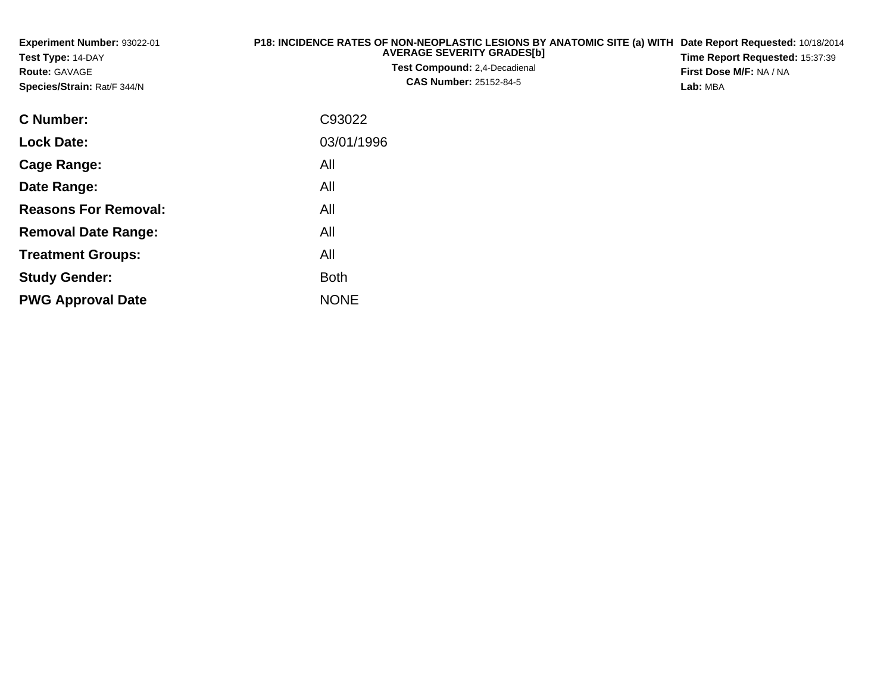| Experiment Number: 93022-01<br>Test Type: 14-DAY<br><b>Route: GAVAGE</b><br>Species/Strain: Rat/F 344/N | P18: INCIDENCE RATES OF NON-NEOPLASTIC LESIONS BY ANATOMIC SITE (a) WITH Date Report Requested: 10/18/2014<br><b>AVERAGE SEVERITY GRADES[b]</b><br>Test Compound: 2,4-Decadienal<br><b>CAS Number: 25152-84-5</b> | Time Report Requested: 15:37:39<br>First Dose M/F: NA / NA<br>Lab: MBA |
|---------------------------------------------------------------------------------------------------------|-------------------------------------------------------------------------------------------------------------------------------------------------------------------------------------------------------------------|------------------------------------------------------------------------|
| C Number:                                                                                               | C93022                                                                                                                                                                                                            |                                                                        |
| <b>Lock Date:</b>                                                                                       | 03/01/1996                                                                                                                                                                                                        |                                                                        |
| <b>Cage Range:</b>                                                                                      | All                                                                                                                                                                                                               |                                                                        |
| Date Range:                                                                                             | All                                                                                                                                                                                                               |                                                                        |
| <b>Reasons For Removal:</b>                                                                             | All                                                                                                                                                                                                               |                                                                        |
| <b>Removal Date Range:</b>                                                                              | All                                                                                                                                                                                                               |                                                                        |
| <b>Treatment Groups:</b>                                                                                | All                                                                                                                                                                                                               |                                                                        |

Both

e NONE

**Study Gender:**

**PWG Approval Date**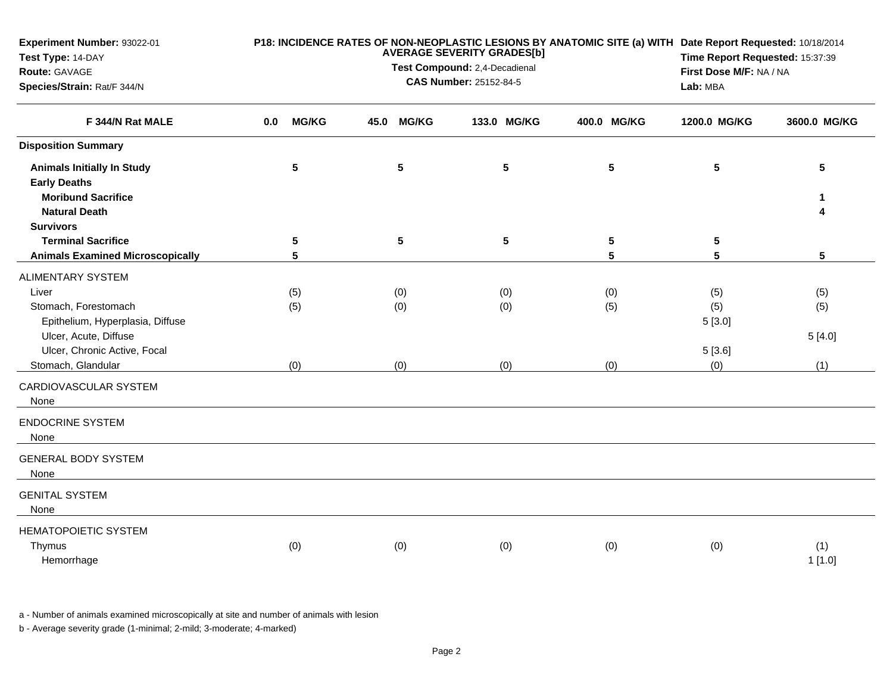| Experiment Number: 93022-01<br>Test Type: 14-DAY<br>Route: GAVAGE<br>Species/Strain: Rat/F 344/N | P18: INCIDENCE RATES OF NON-NEOPLASTIC LESIONS BY ANATOMIC SITE (a) WITH Date Report Requested: 10/18/2014<br><b>AVERAGE SEVERITY GRADES[b]</b><br>Time Report Requested: 15:37:39<br>Test Compound: 2,4-Decadienal<br>First Dose M/F: NA / NA<br>CAS Number: 25152-84-5<br>Lab: MBA |              |      |              |  |                 |  |                 |                      |                      |
|--------------------------------------------------------------------------------------------------|--------------------------------------------------------------------------------------------------------------------------------------------------------------------------------------------------------------------------------------------------------------------------------------|--------------|------|--------------|--|-----------------|--|-----------------|----------------------|----------------------|
| F 344/N Rat MALE                                                                                 | 0.0                                                                                                                                                                                                                                                                                  | <b>MG/KG</b> | 45.0 | <b>MG/KG</b> |  | 133.0 MG/KG     |  | 400.0 MG/KG     | 1200.0 MG/KG         | 3600.0 MG/KG         |
| <b>Disposition Summary</b>                                                                       |                                                                                                                                                                                                                                                                                      |              |      |              |  |                 |  |                 |                      |                      |
| <b>Animals Initially In Study</b><br><b>Early Deaths</b>                                         |                                                                                                                                                                                                                                                                                      | $\sqrt{5}$   |      | ${\bf 5}$    |  | $5\phantom{.0}$ |  | $5\phantom{.0}$ | $5\phantom{.0}$      | 5                    |
| <b>Moribund Sacrifice</b><br><b>Natural Death</b>                                                |                                                                                                                                                                                                                                                                                      |              |      |              |  |                 |  |                 |                      | 1<br>4               |
| <b>Survivors</b><br><b>Terminal Sacrifice</b><br><b>Animals Examined Microscopically</b>         |                                                                                                                                                                                                                                                                                      | 5<br>5       |      | ${\bf 5}$    |  | $5\phantom{.0}$ |  | 5<br>5          | 5<br>5               | $5\phantom{.0}$      |
| <b>ALIMENTARY SYSTEM</b>                                                                         |                                                                                                                                                                                                                                                                                      |              |      |              |  |                 |  |                 |                      |                      |
| Liver<br>Stomach, Forestomach<br>Epithelium, Hyperplasia, Diffuse<br>Ulcer, Acute, Diffuse       |                                                                                                                                                                                                                                                                                      | (5)<br>(5)   |      | (0)<br>(0)   |  | (0)<br>(0)      |  | (0)<br>(5)      | (5)<br>(5)<br>5[3.0] | (5)<br>(5)<br>5[4.0] |
| Ulcer, Chronic Active, Focal<br>Stomach, Glandular                                               |                                                                                                                                                                                                                                                                                      | (0)          |      | (0)          |  | (0)             |  | (0)             | 5[3.6]<br>(0)        | (1)                  |
| CARDIOVASCULAR SYSTEM<br>None                                                                    |                                                                                                                                                                                                                                                                                      |              |      |              |  |                 |  |                 |                      |                      |
| <b>ENDOCRINE SYSTEM</b><br>None                                                                  |                                                                                                                                                                                                                                                                                      |              |      |              |  |                 |  |                 |                      |                      |
| <b>GENERAL BODY SYSTEM</b><br>None                                                               |                                                                                                                                                                                                                                                                                      |              |      |              |  |                 |  |                 |                      |                      |
| <b>GENITAL SYSTEM</b><br>None                                                                    |                                                                                                                                                                                                                                                                                      |              |      |              |  |                 |  |                 |                      |                      |
| <b>HEMATOPOIETIC SYSTEM</b><br>Thymus<br>Hemorrhage                                              |                                                                                                                                                                                                                                                                                      | (0)          |      | (0)          |  | (0)             |  | (0)             | (0)                  | (1)<br>1[1.0]        |

a - Number of animals examined microscopically at site and number of animals with lesion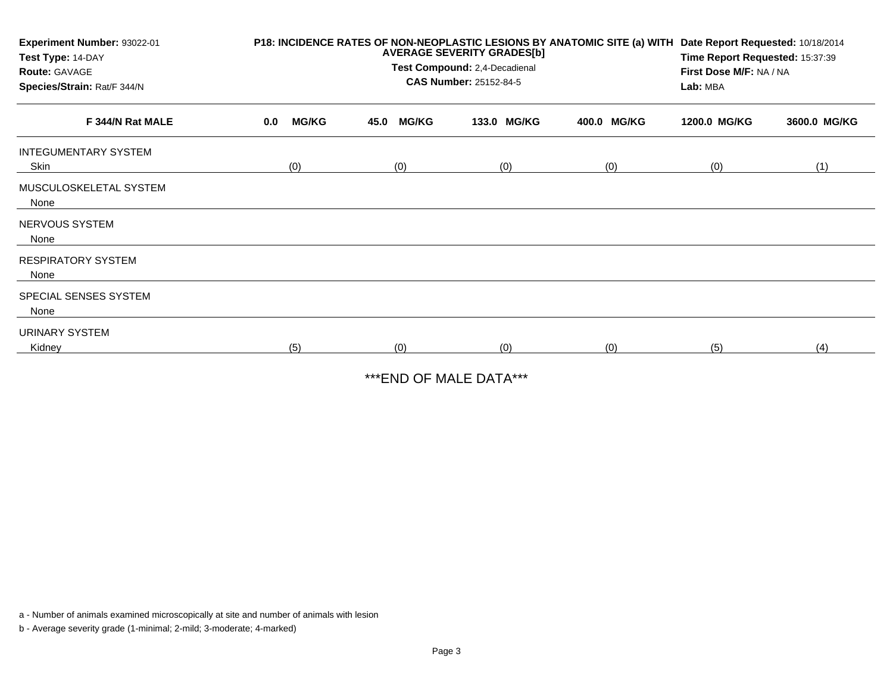| Experiment Number: 93022-01<br>Test Type: 14-DAY<br><b>Route: GAVAGE</b><br>Species/Strain: Rat/F 344/N |     |              | P18: INCIDENCE RATES OF NON-NEOPLASTIC LESIONS BY ANATOMIC SITE (a) WITH Date Report Requested: 10/18/2014<br>Time Report Requested: 15:37:39<br>First Dose M/F: NA / NA<br>Lab: MBA |              |             |             |              |              |
|---------------------------------------------------------------------------------------------------------|-----|--------------|--------------------------------------------------------------------------------------------------------------------------------------------------------------------------------------|--------------|-------------|-------------|--------------|--------------|
| F 344/N Rat MALE                                                                                        | 0.0 | <b>MG/KG</b> | 45.0                                                                                                                                                                                 | <b>MG/KG</b> | 133.0 MG/KG | 400.0 MG/KG | 1200.0 MG/KG | 3600.0 MG/KG |
| <b>INTEGUMENTARY SYSTEM</b><br>Skin                                                                     |     | (0)          |                                                                                                                                                                                      | (0)          | (0)         | (0)         | (0)          | (1)          |
| MUSCULOSKELETAL SYSTEM<br>None                                                                          |     |              |                                                                                                                                                                                      |              |             |             |              |              |
| NERVOUS SYSTEM<br>None                                                                                  |     |              |                                                                                                                                                                                      |              |             |             |              |              |
| <b>RESPIRATORY SYSTEM</b><br>None                                                                       |     |              |                                                                                                                                                                                      |              |             |             |              |              |
| SPECIAL SENSES SYSTEM<br>None                                                                           |     |              |                                                                                                                                                                                      |              |             |             |              |              |
| URINARY SYSTEM<br>Kidney                                                                                |     | (5)          |                                                                                                                                                                                      | (0)          | (0)         | (0)         | (5)          | (4)          |

\*\*\*END OF MALE DATA\*\*\*

a - Number of animals examined microscopically at site and number of animals with lesion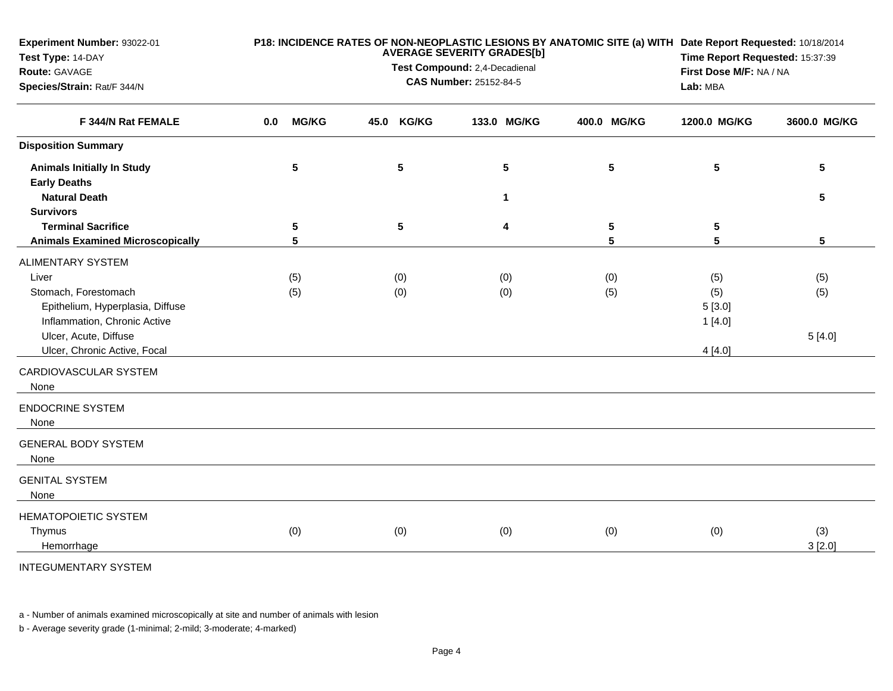| Experiment Number: 93022-01<br>Test Type: 14-DAY<br>Route: GAVAGE<br>Species/Strain: Rat/F 344/N |     |                | <b>AVERAGE SEVERITY GRADES[b]</b><br>Test Compound: 2,4-Decadienal | P18: INCIDENCE RATES OF NON-NEOPLASTIC LESIONS BY ANATOMIC SITE (a) WITH Date Report Requested: 10/18/2014<br>Time Report Requested: 15:37:39<br>First Dose M/F: NA / NA<br>Lab: MBA |             |             |              |                 |
|--------------------------------------------------------------------------------------------------|-----|----------------|--------------------------------------------------------------------|--------------------------------------------------------------------------------------------------------------------------------------------------------------------------------------|-------------|-------------|--------------|-----------------|
| F 344/N Rat FEMALE                                                                               | 0.0 | <b>MG/KG</b>   | 45.0                                                               | <b>KG/KG</b>                                                                                                                                                                         | 133.0 MG/KG | 400.0 MG/KG | 1200.0 MG/KG | 3600.0 MG/KG    |
| <b>Disposition Summary</b>                                                                       |     |                |                                                                    |                                                                                                                                                                                      |             |             |              |                 |
| <b>Animals Initially In Study</b><br><b>Early Deaths</b>                                         |     | 5              |                                                                    | ${\bf 5}$                                                                                                                                                                            | 5           | 5           | 5            | $5\phantom{.0}$ |
| <b>Natural Death</b>                                                                             |     |                |                                                                    |                                                                                                                                                                                      | $\mathbf 1$ |             |              | $5\phantom{.0}$ |
| <b>Survivors</b><br><b>Terminal Sacrifice</b>                                                    |     | 5              |                                                                    | $5\phantom{.0}$                                                                                                                                                                      | 4           | 5           | 5            |                 |
| <b>Animals Examined Microscopically</b>                                                          |     | $5\phantom{1}$ |                                                                    |                                                                                                                                                                                      |             | 5           | 5            | 5               |
| <b>ALIMENTARY SYSTEM</b>                                                                         |     |                |                                                                    |                                                                                                                                                                                      |             |             |              |                 |
| Liver                                                                                            |     | (5)            |                                                                    | (0)                                                                                                                                                                                  | (0)         | (0)         | (5)          | (5)             |
| Stomach, Forestomach                                                                             |     | (5)            |                                                                    | (0)                                                                                                                                                                                  | (0)         | (5)         | (5)          | (5)             |
| Epithelium, Hyperplasia, Diffuse                                                                 |     |                |                                                                    |                                                                                                                                                                                      |             |             | 5[3.0]       |                 |
| Inflammation, Chronic Active                                                                     |     |                |                                                                    |                                                                                                                                                                                      |             |             | 1[4.0]       |                 |
| Ulcer, Acute, Diffuse                                                                            |     |                |                                                                    |                                                                                                                                                                                      |             |             |              | 5[4.0]          |
| Ulcer, Chronic Active, Focal                                                                     |     |                |                                                                    |                                                                                                                                                                                      |             |             | 4[4.0]       |                 |
| CARDIOVASCULAR SYSTEM<br>None                                                                    |     |                |                                                                    |                                                                                                                                                                                      |             |             |              |                 |
| <b>ENDOCRINE SYSTEM</b><br>None                                                                  |     |                |                                                                    |                                                                                                                                                                                      |             |             |              |                 |
| <b>GENERAL BODY SYSTEM</b><br>None                                                               |     |                |                                                                    |                                                                                                                                                                                      |             |             |              |                 |
| <b>GENITAL SYSTEM</b><br>None                                                                    |     |                |                                                                    |                                                                                                                                                                                      |             |             |              |                 |
| <b>HEMATOPOIETIC SYSTEM</b>                                                                      |     |                |                                                                    |                                                                                                                                                                                      |             |             |              |                 |
| Thymus                                                                                           |     | (0)            |                                                                    | (0)                                                                                                                                                                                  | (0)         | (0)         | (0)          | (3)             |
| Hemorrhage                                                                                       |     |                |                                                                    |                                                                                                                                                                                      |             |             |              | 3[2.0]          |
| <b>INTEGUMENTARY SYSTEM</b>                                                                      |     |                |                                                                    |                                                                                                                                                                                      |             |             |              |                 |

a - Number of animals examined microscopically at site and number of animals with lesion